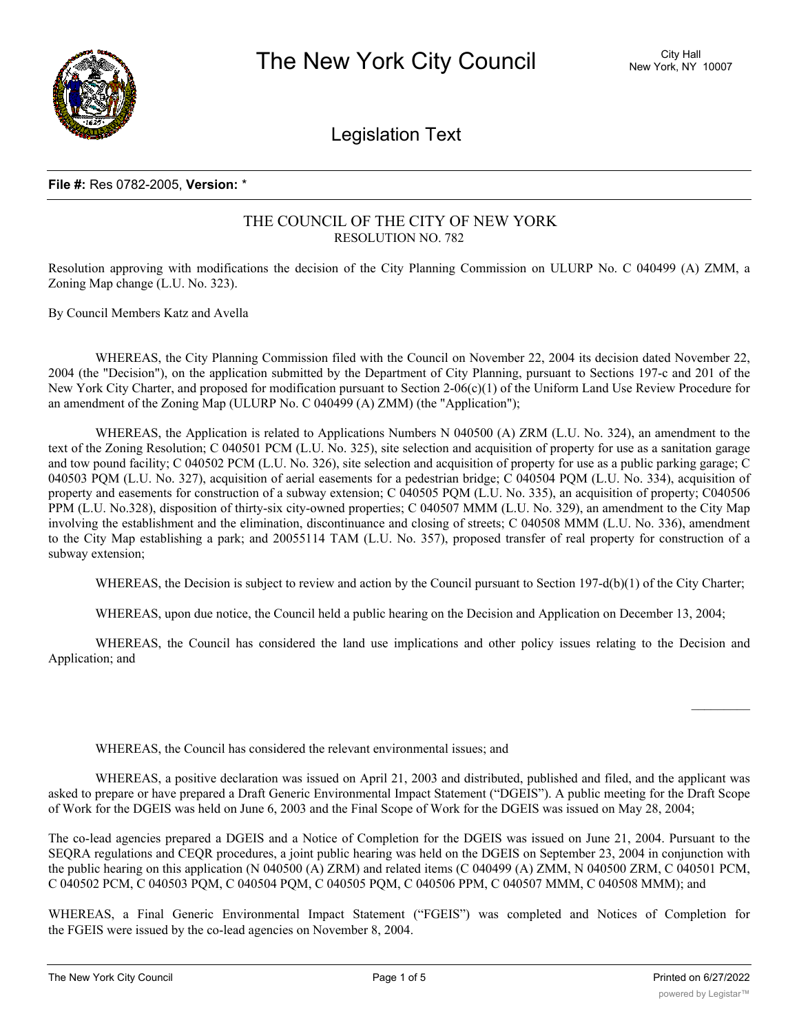

Legislation Text

## **File #:** Res 0782-2005, **Version:** \*

# THE COUNCIL OF THE CITY OF NEW YORK RESOLUTION NO. 782

Resolution approving with modifications the decision of the City Planning Commission on ULURP No. C 040499 (A) ZMM, a Zoning Map change (L.U. No. 323).

By Council Members Katz and Avella

WHEREAS, the City Planning Commission filed with the Council on November 22, 2004 its decision dated November 22, 2004 (the "Decision"), on the application submitted by the Department of City Planning, pursuant to Sections 197-c and 201 of the New York City Charter, and proposed for modification pursuant to Section 2-06(c)(1) of the Uniform Land Use Review Procedure for an amendment of the Zoning Map (ULURP No. C 040499 (A) ZMM) (the "Application");

WHEREAS, the Application is related to Applications Numbers N 040500 (A) ZRM (L.U. No. 324), an amendment to the text of the Zoning Resolution; C 040501 PCM (L.U. No. 325), site selection and acquisition of property for use as a sanitation garage and tow pound facility; C 040502 PCM (L.U. No. 326), site selection and acquisition of property for use as a public parking garage; C 040503 PQM (L.U. No. 327), acquisition of aerial easements for a pedestrian bridge; C 040504 PQM (L.U. No. 334), acquisition of property and easements for construction of a subway extension; C 040505 PQM (L.U. No. 335), an acquisition of property; C040506 PPM (L.U. No.328), disposition of thirty-six city-owned properties; C 040507 MMM (L.U. No. 329), an amendment to the City Map involving the establishment and the elimination, discontinuance and closing of streets; C 040508 MMM (L.U. No. 336), amendment to the City Map establishing a park; and 20055114 TAM (L.U. No. 357), proposed transfer of real property for construction of a subway extension;

WHEREAS, the Decision is subject to review and action by the Council pursuant to Section 197-d(b)(1) of the City Charter;

WHEREAS, upon due notice, the Council held a public hearing on the Decision and Application on December 13, 2004;

WHEREAS, the Council has considered the land use implications and other policy issues relating to the Decision and Application; and

WHEREAS, the Council has considered the relevant environmental issues; and

WHEREAS, a positive declaration was issued on April 21, 2003 and distributed, published and filed, and the applicant was asked to prepare or have prepared a Draft Generic Environmental Impact Statement ("DGEIS"). A public meeting for the Draft Scope of Work for the DGEIS was held on June 6, 2003 and the Final Scope of Work for the DGEIS was issued on May 28, 2004;

The co-lead agencies prepared a DGEIS and a Notice of Completion for the DGEIS was issued on June 21, 2004. Pursuant to the SEQRA regulations and CEQR procedures, a joint public hearing was held on the DGEIS on September 23, 2004 in conjunction with the public hearing on this application (N 040500 (A) ZRM) and related items (C 040499 (A) ZMM, N 040500 ZRM, C 040501 PCM, C 040502 PCM, C 040503 PQM, C 040504 PQM, C 040505 PQM, C 040506 PPM, C 040507 MMM, C 040508 MMM); and

WHEREAS, a Final Generic Environmental Impact Statement ("FGEIS") was completed and Notices of Completion for the FGEIS were issued by the co-lead agencies on November 8, 2004.

 $\frac{1}{2}$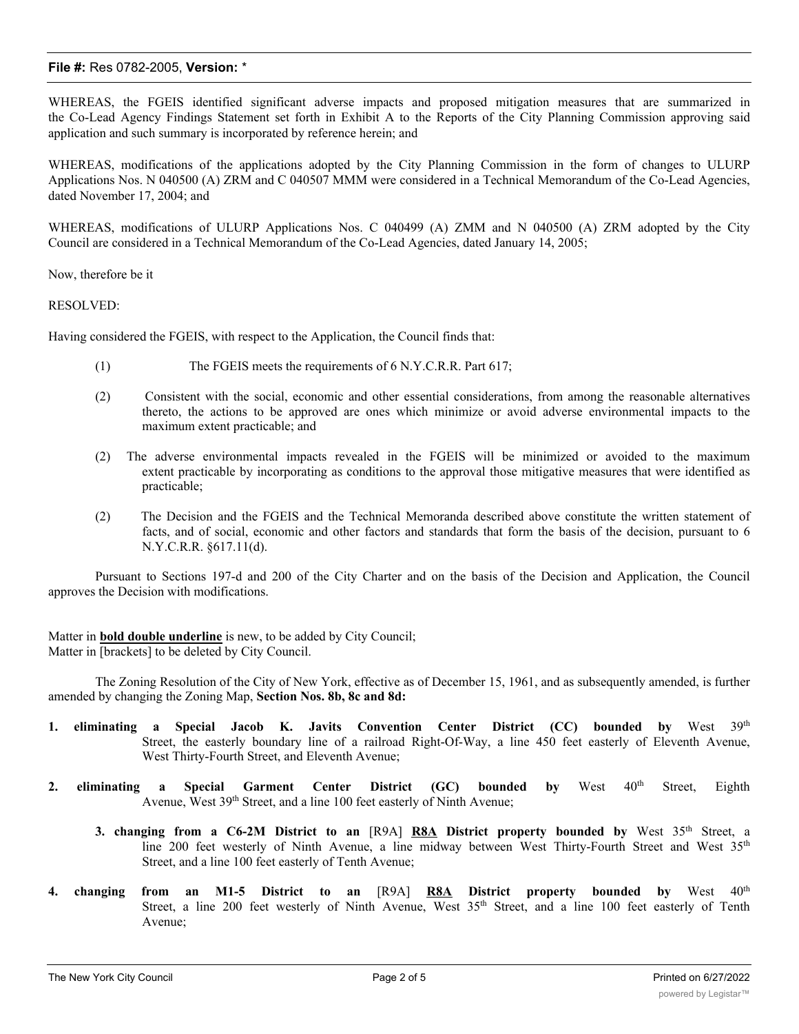## **File #:** Res 0782-2005, **Version:** \*

WHEREAS, the FGEIS identified significant adverse impacts and proposed mitigation measures that are summarized in the Co-Lead Agency Findings Statement set forth in Exhibit A to the Reports of the City Planning Commission approving said application and such summary is incorporated by reference herein; and

WHEREAS, modifications of the applications adopted by the City Planning Commission in the form of changes to ULURP Applications Nos. N 040500 (A) ZRM and C 040507 MMM were considered in a Technical Memorandum of the Co-Lead Agencies, dated November 17, 2004; and

WHEREAS, modifications of ULURP Applications Nos. C 040499 (A) ZMM and N 040500 (A) ZRM adopted by the City Council are considered in a Technical Memorandum of the Co-Lead Agencies, dated January 14, 2005;

Now, therefore be it

#### RESOLVED:

Having considered the FGEIS, with respect to the Application, the Council finds that:

- (1) The FGEIS meets the requirements of 6 N.Y.C.R.R. Part 617;
- (2) Consistent with the social, economic and other essential considerations, from among the reasonable alternatives thereto, the actions to be approved are ones which minimize or avoid adverse environmental impacts to the maximum extent practicable; and
- (2) The adverse environmental impacts revealed in the FGEIS will be minimized or avoided to the maximum extent practicable by incorporating as conditions to the approval those mitigative measures that were identified as practicable;
- (2) The Decision and the FGEIS and the Technical Memoranda described above constitute the written statement of facts, and of social, economic and other factors and standards that form the basis of the decision, pursuant to 6 N.Y.C.R.R. §617.11(d).

Pursuant to Sections 197-d and 200 of the City Charter and on the basis of the Decision and Application, the Council approves the Decision with modifications.

Matter in **bold double underline** is new, to be added by City Council; Matter in [brackets] to be deleted by City Council.

The Zoning Resolution of the City of New York, effective as of December 15, 1961, and as subsequently amended, is further amended by changing the Zoning Map, **Section Nos. 8b, 8c and 8d:**

- **1. eliminating a Special Jacob K. Javits Convention Center District (CC) bounded by** West 39th Street, the easterly boundary line of a railroad Right-Of-Way, a line 450 feet easterly of Eleventh Avenue, West Thirty-Fourth Street, and Eleventh Avenue;
- **2. eliminating a Special Garment Center District (GC) bounded by** West 40th Street, Eighth Avenue, West 39<sup>th</sup> Street, and a line 100 feet easterly of Ninth Avenue;
	- **3. changing from a C6-2M District to an** [R9A] **R8A District property bounded by** West 35th Street, a line 200 feet westerly of Ninth Avenue, a line midway between West Thirty-Fourth Street and West 35th Street, and a line 100 feet easterly of Tenth Avenue;
- **4. changing from an M1-5 District to an** [R9A] **R8A District property bounded by** West 40th Street, a line 200 feet westerly of Ninth Avenue, West 35<sup>th</sup> Street, and a line 100 feet easterly of Tenth Avenue;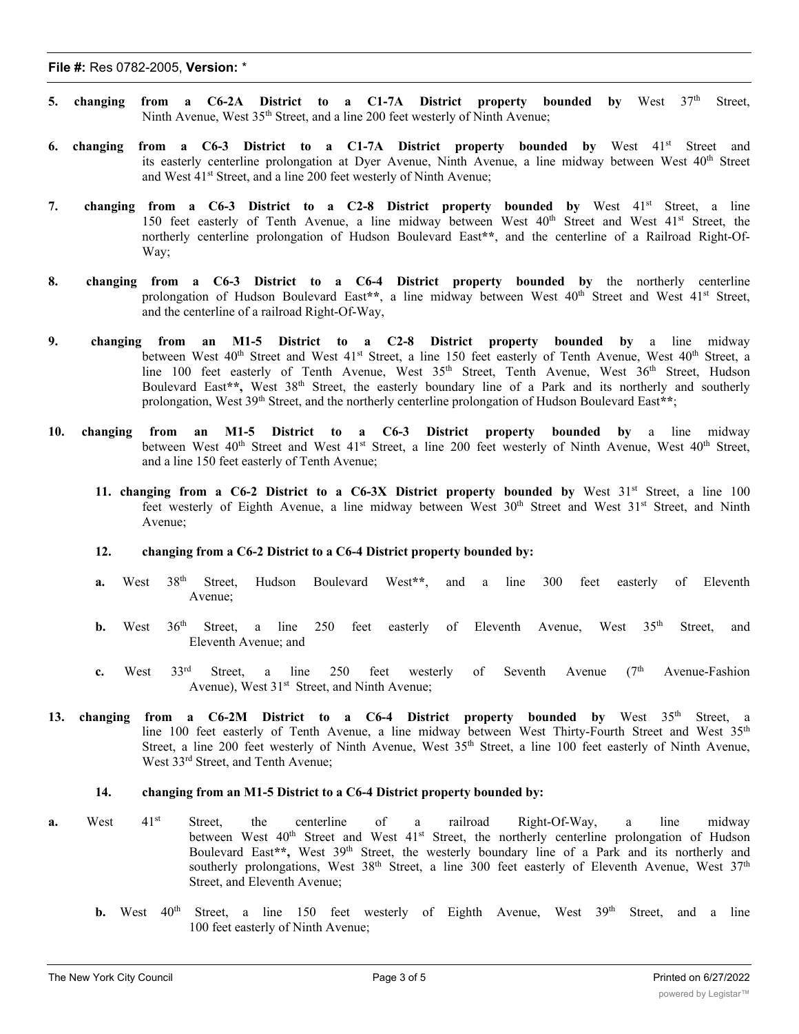- **5. changing from a C6-2A District to a C1-7A District property bounded by** West 37th Street, Ninth Avenue, West 35<sup>th</sup> Street, and a line 200 feet westerly of Ninth Avenue;
- **6. changing from a C6-3 District to a C1-7A District property bounded by** West 41st Street and its easterly centerline prolongation at Dyer Avenue, Ninth Avenue, a line midway between West 40<sup>th</sup> Street and West 41<sup>st</sup> Street, and a line 200 feet westerly of Ninth Avenue;
- **7. changing from a C6-3 District to a C2-8 District property bounded by** West 41st Street, a line 150 feet easterly of Tenth Avenue, a line midway between West 40<sup>th</sup> Street and West 41<sup>st</sup> Street, the northerly centerline prolongation of Hudson Boulevard East**\*\***, and the centerline of a Railroad Right-Of-Way;
- **8. changing from a C6-3 District to a C6-4 District property bounded by** the northerly centerline prolongation of Hudson Boulevard East<sup>\*\*</sup>, a line midway between West 40<sup>th</sup> Street and West 41<sup>st</sup> Street, and the centerline of a railroad Right-Of-Way,
- **9. changing from an M1-5 District to a C2-8 District property bounded by** a line midway between West 40<sup>th</sup> Street and West 41<sup>st</sup> Street, a line 150 feet easterly of Tenth Avenue, West 40<sup>th</sup> Street, a line 100 feet easterly of Tenth Avenue, West 35<sup>th</sup> Street, Tenth Avenue, West 36<sup>th</sup> Street, Hudson Boulevard East**\*\*,** West 38th Street, the easterly boundary line of a Park and its northerly and southerly prolongation, West 39<sup>th</sup> Street, and the northerly centerline prolongation of Hudson Boulevard East\*\*;
- **10. changing from an M1-5 District to a C6-3 District property bounded by** a line midway between West 40<sup>th</sup> Street and West 41<sup>st</sup> Street, a line 200 feet westerly of Ninth Avenue, West 40<sup>th</sup> Street, and a line 150 feet easterly of Tenth Avenue;
	- **11. changing from a C6-2 District to a C6-3X District property bounded by** West 31st Street, a line 100 feet westerly of Eighth Avenue, a line midway between West 30<sup>th</sup> Street and West 31<sup>st</sup> Street, and Ninth Avenue;
	- **12. changing from a C6-2 District to a C6-4 District property bounded by:**
	- **a.** West 38th Street, Hudson Boulevard West**\*\***, and a line 300 feet easterly of Eleventh Avenue;
	- **b.** West 36<sup>th</sup> Street, a line 250 feet easterly of Eleventh Avenue, West 35<sup>th</sup> Street, and Eleventh Avenue; and
	- **c.** West  $33^{rd}$  Street, a line  $250$  feet westerly of Seventh Avenue ( $7^{th}$  Avenue-Fashion Avenue), West 31<sup>st</sup> Street, and Ninth Avenue;
- **13. changing from a C6-2M District to a C6-4 District property bounded by** West 35th Street, a line 100 feet easterly of Tenth Avenue, a line midway between West Thirty-Fourth Street and West 35<sup>th</sup> Street, a line 200 feet westerly of Ninth Avenue, West 35<sup>th</sup> Street, a line 100 feet easterly of Ninth Avenue, West 33<sup>rd</sup> Street, and Tenth Avenue;

#### **14. changing from an M1-5 District to a C6-4 District property bounded by:**

- **a.** West 41<sup>st</sup> Street, the centerline of a railroad Right-Of-Way, a line midway between West 40<sup>th</sup> Street and West 41<sup>st</sup> Street, the northerly centerline prolongation of Hudson Boulevard East\*\*, West 39<sup>th</sup> Street, the westerly boundary line of a Park and its northerly and southerly prolongations, West  $38<sup>th</sup>$  Street, a line 300 feet easterly of Eleventh Avenue, West  $37<sup>th</sup>$ Street, and Eleventh Avenue;
	- **b.** West 40<sup>th</sup> Street, a line 150 feet westerly of Eighth Avenue, West 39<sup>th</sup> Street, and a line 100 feet easterly of Ninth Avenue;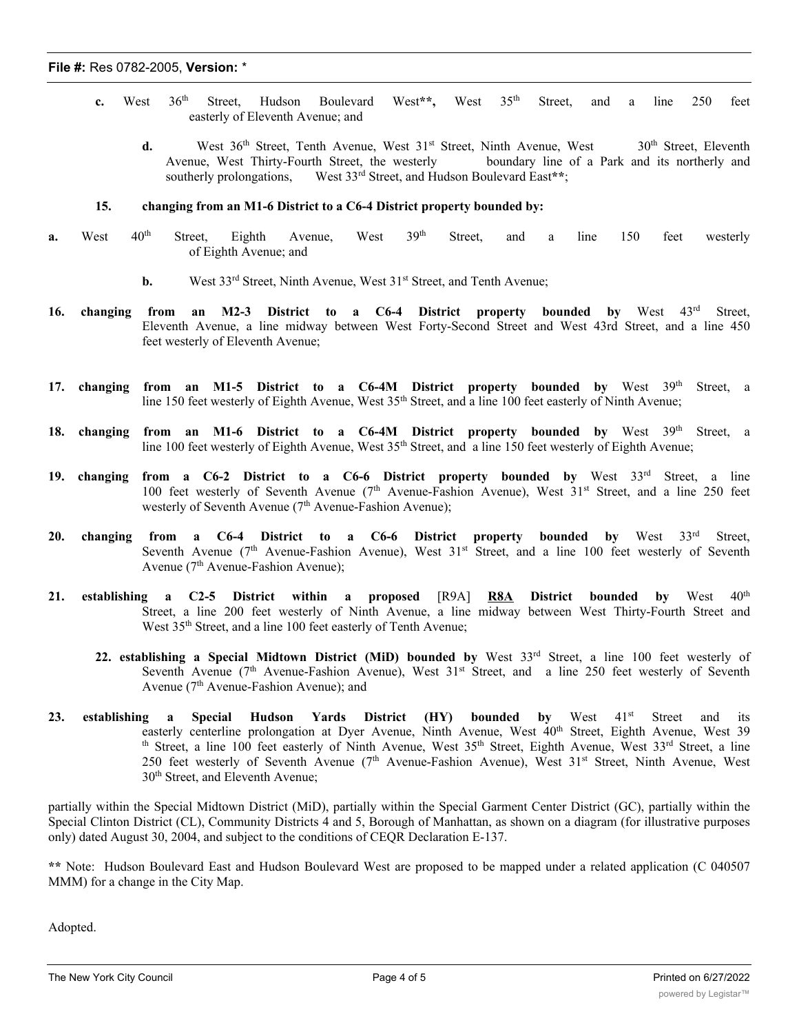- **c.** West 36th Street, Hudson Boulevard West**\*\*,** West 35th Street, and a line 250 feet easterly of Eleventh Avenue; and
	- d. West 36<sup>th</sup> Street, Tenth Avenue, West 31<sup>st</sup> Street, Ninth Avenue, West 30<sup>th</sup> Street, Eleventh Avenue, West Thirty-Fourth Street, the westerly boundary line of a Park and its northerly and southerly prolongations, West 33<sup>rd</sup> Street, and Hudson Boulevard East\*\*;

## **15. changing from an M1-6 District to a C6-4 District property bounded by:**

- **a.** West 40<sup>th</sup> Street, Eighth Avenue, West 39<sup>th</sup> Street, and a line 150 feet westerly of Eighth Avenue; and
	- **b.** West 33<sup>rd</sup> Street, Ninth Avenue, West 31<sup>st</sup> Street, and Tenth Avenue;
- **16. changing from an M2-3 District to a C6-4 District property bounded by** West 43rd Street, Eleventh Avenue, a line midway between West Forty-Second Street and West 43rd Street, and a line 450 feet westerly of Eleventh Avenue;
- **17. changing from an M1-5 District to a C6-4M District property bounded by** West 39th Street, a line 150 feet westerly of Eighth Avenue, West 35<sup>th</sup> Street, and a line 100 feet easterly of Ninth Avenue;
- **18. changing from an M1-6 District to a C6-4M District property bounded by** West 39th Street, a line 100 feet westerly of Eighth Avenue, West 35<sup>th</sup> Street, and a line 150 feet westerly of Eighth Avenue;
- **19. changing from a C6-2 District to a C6-6 District property bounded by** West 33rd Street, a line 100 feet westerly of Seventh Avenue (7th Avenue-Fashion Avenue), West 31st Street, and a line 250 feet westerly of Seventh Avenue ( $7<sup>th</sup>$  Avenue-Fashion Avenue);
- **20. changing from a C6-4 District to a C6-6 District property bounded by** West 33rd Street, Seventh Avenue (7<sup>th</sup> Avenue-Fashion Avenue), West 31<sup>st</sup> Street, and a line 100 feet westerly of Seventh Avenue (7<sup>th</sup> Avenue-Fashion Avenue);
- **21. establishing a C2-5 District within a proposed** [R9A] **R8A District bounded by** West 40th Street, a line 200 feet westerly of Ninth Avenue, a line midway between West Thirty-Fourth Street and West 35<sup>th</sup> Street, and a line 100 feet easterly of Tenth Avenue;
	- **22. establishing a Special Midtown District (MiD) bounded by** West 33rd Street, a line 100 feet westerly of Seventh Avenue ( $7<sup>th</sup>$  Avenue-Fashion Avenue), West  $31<sup>st</sup>$  Street, and a line 250 feet westerly of Seventh Avenue  $(7<sup>th</sup>$  Avenue-Fashion Avenue); and
- **23. establishing a Special Hudson Yards District (HY) bounded by** West 41st Street and its easterly centerline prolongation at Dyer Avenue, Ninth Avenue, West 40<sup>th</sup> Street, Eighth Avenue, West 39 th Street, a line 100 feet easterly of Ninth Avenue, West 35<sup>th</sup> Street, Eighth Avenue, West 33<sup>rd</sup> Street, a line 250 feet westerly of Seventh Avenue (7<sup>th</sup> Avenue-Fashion Avenue), West 31<sup>st</sup> Street, Ninth Avenue, West 30<sup>th</sup> Street, and Eleventh Avenue;

partially within the Special Midtown District (MiD), partially within the Special Garment Center District (GC), partially within the Special Clinton District (CL), Community Districts 4 and 5, Borough of Manhattan, as shown on a diagram (for illustrative purposes only) dated August 30, 2004, and subject to the conditions of CEQR Declaration E-137.

**\*\*** Note: Hudson Boulevard East and Hudson Boulevard West are proposed to be mapped under a related application (C 040507 MMM) for a change in the City Map.

Adopted.